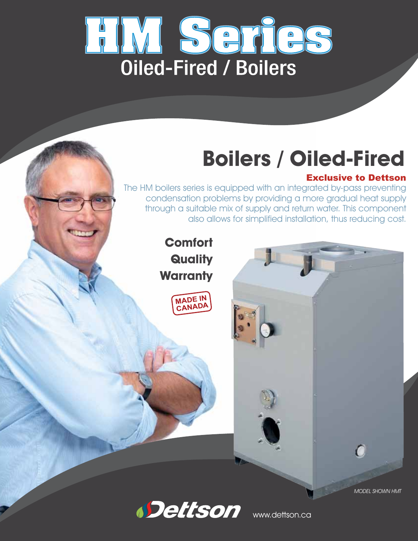

# **Boilers / Oiled-Fired**

### Exclusive to Dettson

The HM boilers series is equipped with an integrated by-pass preventing condensation problems by providing a more gradual heat supply through a suitable mix of supply and return water. This component also allows for simplified installation, thus reducing cost.

> **Comfort Quality Warranty**





 $\Omega$ 



www.dettson.ca